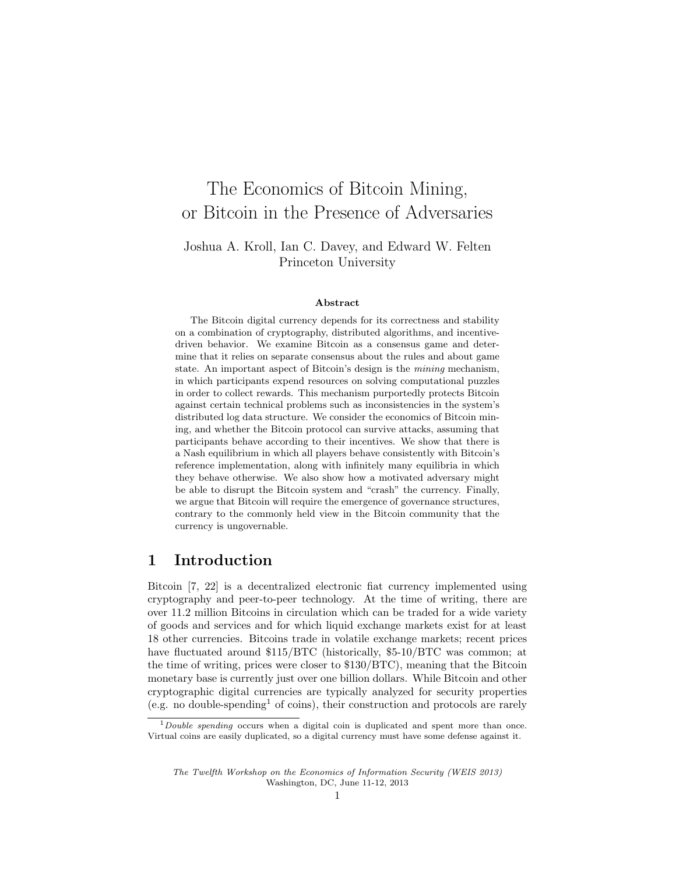# The Economics of Bitcoin Mining, or Bitcoin in the Presence of Adversaries

### Joshua A. Kroll, Ian C. Davey, and Edward W. Felten Princeton University

#### Abstract

The Bitcoin digital currency depends for its correctness and stability on a combination of cryptography, distributed algorithms, and incentivedriven behavior. We examine Bitcoin as a consensus game and determine that it relies on separate consensus about the rules and about game state. An important aspect of Bitcoin's design is the mining mechanism, in which participants expend resources on solving computational puzzles in order to collect rewards. This mechanism purportedly protects Bitcoin against certain technical problems such as inconsistencies in the system's distributed log data structure. We consider the economics of Bitcoin mining, and whether the Bitcoin protocol can survive attacks, assuming that participants behave according to their incentives. We show that there is a Nash equilibrium in which all players behave consistently with Bitcoin's reference implementation, along with infinitely many equilibria in which they behave otherwise. We also show how a motivated adversary might be able to disrupt the Bitcoin system and "crash" the currency. Finally, we argue that Bitcoin will require the emergence of governance structures, contrary to the commonly held view in the Bitcoin community that the currency is ungovernable.

### 1 Introduction

Bitcoin [7, 22] is a decentralized electronic fiat currency implemented using cryptography and peer-to-peer technology. At the time of writing, there are over 11.2 million Bitcoins in circulation which can be traded for a wide variety of goods and services and for which liquid exchange markets exist for at least 18 other currencies. Bitcoins trade in volatile exchange markets; recent prices have fluctuated around \$115/BTC (historically, \$5-10/BTC was common; at the time of writing, prices were closer to \$130/BTC), meaning that the Bitcoin monetary base is currently just over one billion dollars. While Bitcoin and other cryptographic digital currencies are typically analyzed for security properties (e.g. no double-spending<sup>1</sup> of coins), their construction and protocols are rarely

 $1$  Double spending occurs when a digital coin is duplicated and spent more than once. Virtual coins are easily duplicated, so a digital currency must have some defense against it.

The Twelfth Workshop on the Economics of Information Security (WEIS 2013) Washington, DC, June 11-12, 2013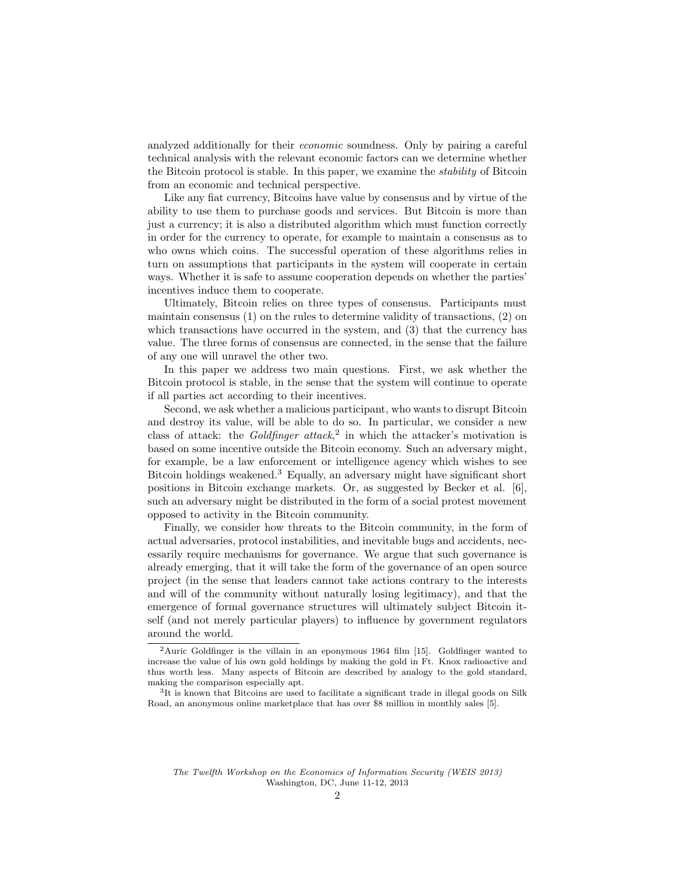analyzed additionally for their *economic* soundness. Only by pairing a careful technical analysis with the relevant economic factors can we determine whether the Bitcoin protocol is stable. In this paper, we examine the stability of Bitcoin from an economic and technical perspective.

Like any fiat currency, Bitcoins have value by consensus and by virtue of the ability to use them to purchase goods and services. But Bitcoin is more than just a currency; it is also a distributed algorithm which must function correctly in order for the currency to operate, for example to maintain a consensus as to who owns which coins. The successful operation of these algorithms relies in turn on assumptions that participants in the system will cooperate in certain ways. Whether it is safe to assume cooperation depends on whether the parties' incentives induce them to cooperate.

Ultimately, Bitcoin relies on three types of consensus. Participants must maintain consensus (1) on the rules to determine validity of transactions, (2) on which transactions have occurred in the system, and  $(3)$  that the currency has value. The three forms of consensus are connected, in the sense that the failure of any one will unravel the other two.

In this paper we address two main questions. First, we ask whether the Bitcoin protocol is stable, in the sense that the system will continue to operate if all parties act according to their incentives.

Second, we ask whether a malicious participant, who wants to disrupt Bitcoin and destroy its value, will be able to do so. In particular, we consider a new class of attack: the Goldfinger attack,<sup>2</sup> in which the attacker's motivation is based on some incentive outside the Bitcoin economy. Such an adversary might, for example, be a law enforcement or intelligence agency which wishes to see Bitcoin holdings weakened.<sup>3</sup> Equally, an adversary might have significant short positions in Bitcoin exchange markets. Or, as suggested by Becker et al. [6], such an adversary might be distributed in the form of a social protest movement opposed to activity in the Bitcoin community.

Finally, we consider how threats to the Bitcoin community, in the form of actual adversaries, protocol instabilities, and inevitable bugs and accidents, necessarily require mechanisms for governance. We argue that such governance is already emerging, that it will take the form of the governance of an open source project (in the sense that leaders cannot take actions contrary to the interests and will of the community without naturally losing legitimacy), and that the emergence of formal governance structures will ultimately subject Bitcoin itself (and not merely particular players) to influence by government regulators around the world.

<sup>&</sup>lt;sup>2</sup>Auric Goldfinger is the villain in an eponymous 1964 film [15]. Goldfinger wanted to increase the value of his own gold holdings by making the gold in Ft. Knox radioactive and thus worth less. Many aspects of Bitcoin are described by analogy to the gold standard, making the comparison especially apt.

<sup>&</sup>lt;sup>3</sup>It is known that Bitcoins are used to facilitate a significant trade in illegal goods on Silk Road, an anonymous online marketplace that has over \$8 million in monthly sales [5].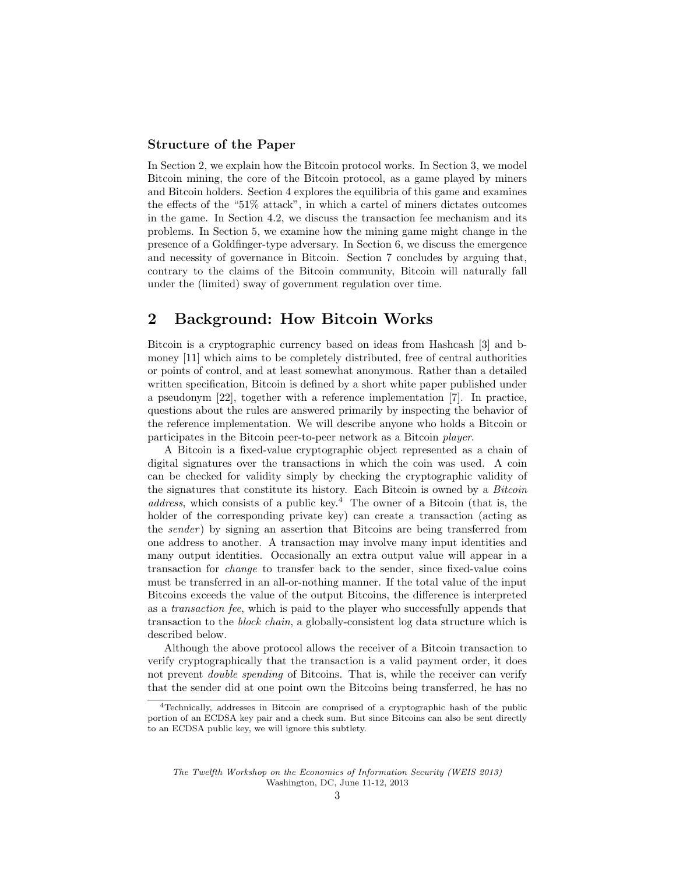#### Structure of the Paper

In Section 2, we explain how the Bitcoin protocol works. In Section 3, we model Bitcoin mining, the core of the Bitcoin protocol, as a game played by miners and Bitcoin holders. Section 4 explores the equilibria of this game and examines the effects of the "51% attack", in which a cartel of miners dictates outcomes in the game. In Section 4.2, we discuss the transaction fee mechanism and its problems. In Section 5, we examine how the mining game might change in the presence of a Goldfinger-type adversary. In Section 6, we discuss the emergence and necessity of governance in Bitcoin. Section 7 concludes by arguing that, contrary to the claims of the Bitcoin community, Bitcoin will naturally fall under the (limited) sway of government regulation over time.

### 2 Background: How Bitcoin Works

Bitcoin is a cryptographic currency based on ideas from Hashcash [3] and bmoney [11] which aims to be completely distributed, free of central authorities or points of control, and at least somewhat anonymous. Rather than a detailed written specification, Bitcoin is defined by a short white paper published under a pseudonym [22], together with a reference implementation [7]. In practice, questions about the rules are answered primarily by inspecting the behavior of the reference implementation. We will describe anyone who holds a Bitcoin or participates in the Bitcoin peer-to-peer network as a Bitcoin player.

A Bitcoin is a fixed-value cryptographic object represented as a chain of digital signatures over the transactions in which the coin was used. A coin can be checked for validity simply by checking the cryptographic validity of the signatures that constitute its history. Each Bitcoin is owned by a Bitcoin address, which consists of a public key.<sup>4</sup> The owner of a Bitcoin (that is, the holder of the corresponding private key) can create a transaction (acting as the *sender*) by signing an assertion that Bitcoins are being transferred from one address to another. A transaction may involve many input identities and many output identities. Occasionally an extra output value will appear in a transaction for change to transfer back to the sender, since fixed-value coins must be transferred in an all-or-nothing manner. If the total value of the input Bitcoins exceeds the value of the output Bitcoins, the difference is interpreted as a transaction fee, which is paid to the player who successfully appends that transaction to the block chain, a globally-consistent log data structure which is described below.

Although the above protocol allows the receiver of a Bitcoin transaction to verify cryptographically that the transaction is a valid payment order, it does not prevent *double spending* of Bitcoins. That is, while the receiver can verify that the sender did at one point own the Bitcoins being transferred, he has no

<sup>4</sup>Technically, addresses in Bitcoin are comprised of a cryptographic hash of the public portion of an ECDSA key pair and a check sum. But since Bitcoins can also be sent directly to an ECDSA public key, we will ignore this subtlety.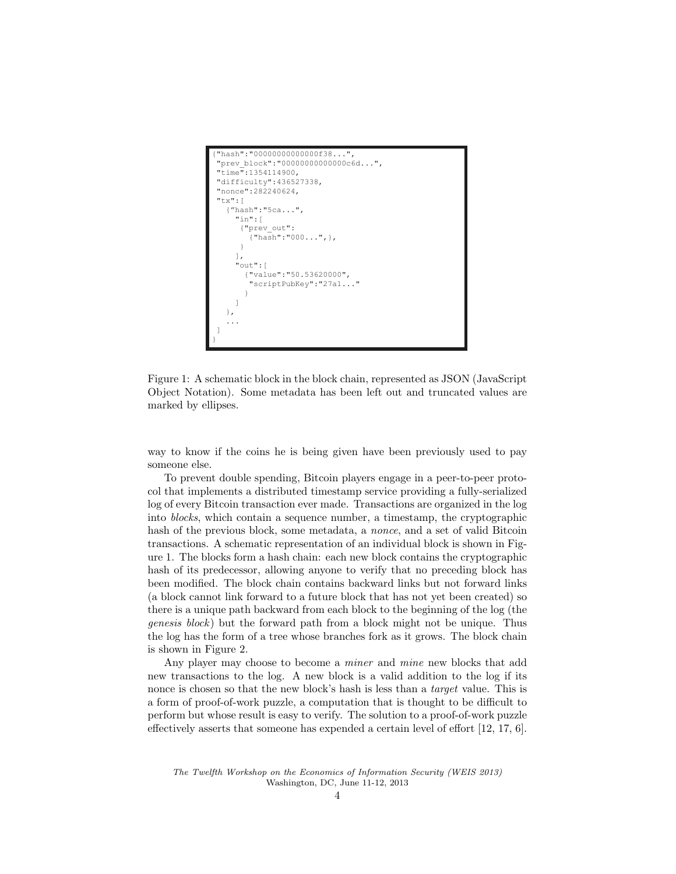```
"hash":"00000000000000f38..."
  "prev_block":"00000000000000c6d...",
 .<br>time":1354114900,
 "difficulty":436527338,
 "nonce":282240624,
 "tx":[
    {"hash":"5ca...",
      "in":[
       {"prev_out":
         {"hash":"000...",},
       }
      ],
      "out":[
        {"value":"50.53620000",
         "scriptPubKey":"27a1..."
 }
 ]
    },
 ...
 ]
}
```
Figure 1: A schematic block in the block chain, represented as JSON (JavaScript Object Notation). Some metadata has been left out and truncated values are marked by ellipses.

way to know if the coins he is being given have been previously used to pay someone else.

To prevent double spending, Bitcoin players engage in a peer-to-peer protocol that implements a distributed timestamp service providing a fully-serialized log of every Bitcoin transaction ever made. Transactions are organized in the log into blocks, which contain a sequence number, a timestamp, the cryptographic hash of the previous block, some metadata, a nonce, and a set of valid Bitcoin transactions. A schematic representation of an individual block is shown in Figure 1. The blocks form a hash chain: each new block contains the cryptographic hash of its predecessor, allowing anyone to verify that no preceding block has been modified. The block chain contains backward links but not forward links (a block cannot link forward to a future block that has not yet been created) so there is a unique path backward from each block to the beginning of the log (the genesis block) but the forward path from a block might not be unique. Thus the log has the form of a tree whose branches fork as it grows. The block chain is shown in Figure 2.

Any player may choose to become a *miner* and *mine* new blocks that add new transactions to the log. A new block is a valid addition to the log if its nonce is chosen so that the new block's hash is less than a *target* value. This is a form of proof-of-work puzzle, a computation that is thought to be difficult to perform but whose result is easy to verify. The solution to a proof-of-work puzzle effectively asserts that someone has expended a certain level of effort [12, 17, 6].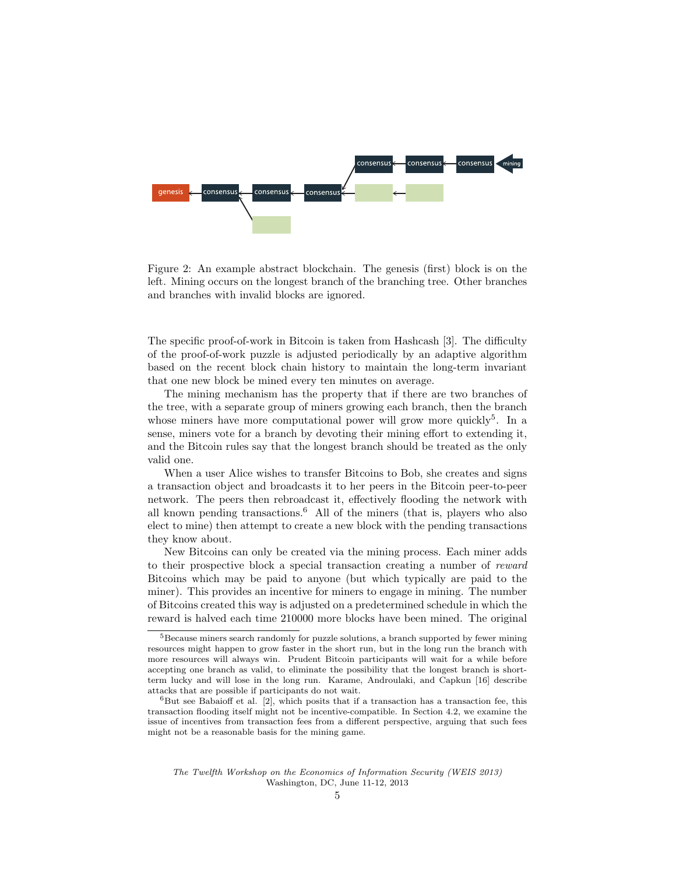

Figure 2: An example abstract blockchain. The genesis (first) block is on the left. Mining occurs on the longest branch of the branching tree. Other branches and branches with invalid blocks are ignored.

The specific proof-of-work in Bitcoin is taken from Hashcash [3]. The difficulty of the proof-of-work puzzle is adjusted periodically by an adaptive algorithm based on the recent block chain history to maintain the long-term invariant that one new block be mined every ten minutes on average.

The mining mechanism has the property that if there are two branches of the tree, with a separate group of miners growing each branch, then the branch whose miners have more computational power will grow more quickly<sup>5</sup>. In a sense, miners vote for a branch by devoting their mining effort to extending it, and the Bitcoin rules say that the longest branch should be treated as the only valid one.

When a user Alice wishes to transfer Bitcoins to Bob, she creates and signs a transaction object and broadcasts it to her peers in the Bitcoin peer-to-peer network. The peers then rebroadcast it, effectively flooding the network with all known pending transactions.<sup>6</sup> All of the miners (that is, players who also elect to mine) then attempt to create a new block with the pending transactions they know about.

New Bitcoins can only be created via the mining process. Each miner adds to their prospective block a special transaction creating a number of reward Bitcoins which may be paid to anyone (but which typically are paid to the miner). This provides an incentive for miners to engage in mining. The number of Bitcoins created this way is adjusted on a predetermined schedule in which the reward is halved each time 210000 more blocks have been mined. The original

<sup>&</sup>lt;sup>5</sup>Because miners search randomly for puzzle solutions, a branch supported by fewer mining resources might happen to grow faster in the short run, but in the long run the branch with more resources will always win. Prudent Bitcoin participants will wait for a while before accepting one branch as valid, to eliminate the possibility that the longest branch is shortterm lucky and will lose in the long run. Karame, Androulaki, and Capkun [16] describe attacks that are possible if participants do not wait.

 ${}^{6}$ But see Babaioff et al. [2], which posits that if a transaction has a transaction fee, this transaction flooding itself might not be incentive-compatible. In Section 4.2, we examine the issue of incentives from transaction fees from a different perspective, arguing that such fees might not be a reasonable basis for the mining game.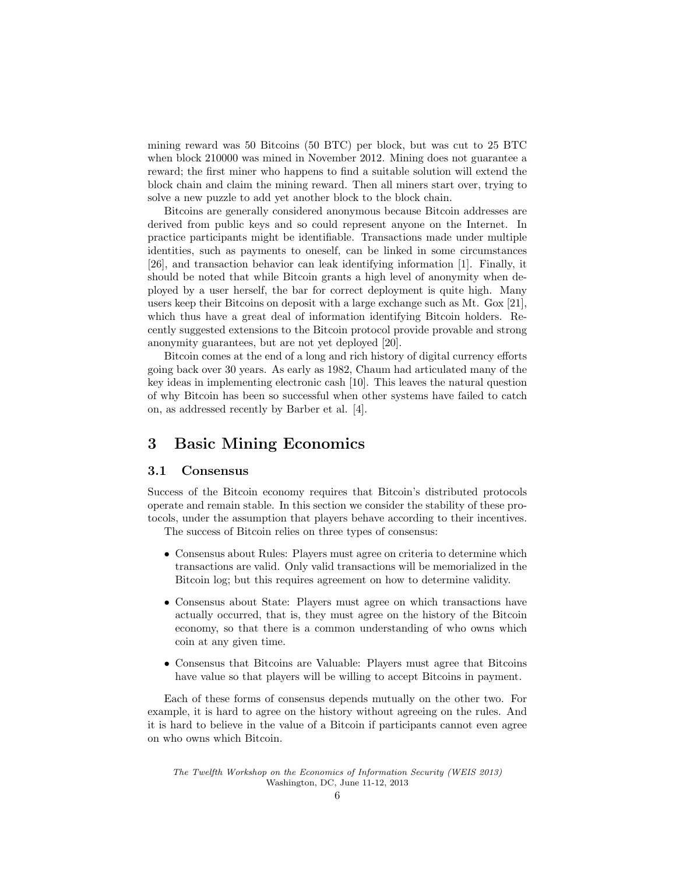mining reward was 50 Bitcoins (50 BTC) per block, but was cut to 25 BTC when block 210000 was mined in November 2012. Mining does not guarantee a reward; the first miner who happens to find a suitable solution will extend the block chain and claim the mining reward. Then all miners start over, trying to solve a new puzzle to add yet another block to the block chain.

Bitcoins are generally considered anonymous because Bitcoin addresses are derived from public keys and so could represent anyone on the Internet. In practice participants might be identifiable. Transactions made under multiple identities, such as payments to oneself, can be linked in some circumstances [26], and transaction behavior can leak identifying information [1]. Finally, it should be noted that while Bitcoin grants a high level of anonymity when deployed by a user herself, the bar for correct deployment is quite high. Many users keep their Bitcoins on deposit with a large exchange such as Mt. Gox [21], which thus have a great deal of information identifying Bitcoin holders. Recently suggested extensions to the Bitcoin protocol provide provable and strong anonymity guarantees, but are not yet deployed [20].

Bitcoin comes at the end of a long and rich history of digital currency efforts going back over 30 years. As early as 1982, Chaum had articulated many of the key ideas in implementing electronic cash [10]. This leaves the natural question of why Bitcoin has been so successful when other systems have failed to catch on, as addressed recently by Barber et al. [4].

# 3 Basic Mining Economics

#### 3.1 Consensus

Success of the Bitcoin economy requires that Bitcoin's distributed protocols operate and remain stable. In this section we consider the stability of these protocols, under the assumption that players behave according to their incentives.

The success of Bitcoin relies on three types of consensus:

- Consensus about Rules: Players must agree on criteria to determine which transactions are valid. Only valid transactions will be memorialized in the Bitcoin log; but this requires agreement on how to determine validity.
- Consensus about State: Players must agree on which transactions have actually occurred, that is, they must agree on the history of the Bitcoin economy, so that there is a common understanding of who owns which coin at any given time.
- Consensus that Bitcoins are Valuable: Players must agree that Bitcoins have value so that players will be willing to accept Bitcoins in payment.

Each of these forms of consensus depends mutually on the other two. For example, it is hard to agree on the history without agreeing on the rules. And it is hard to believe in the value of a Bitcoin if participants cannot even agree on who owns which Bitcoin.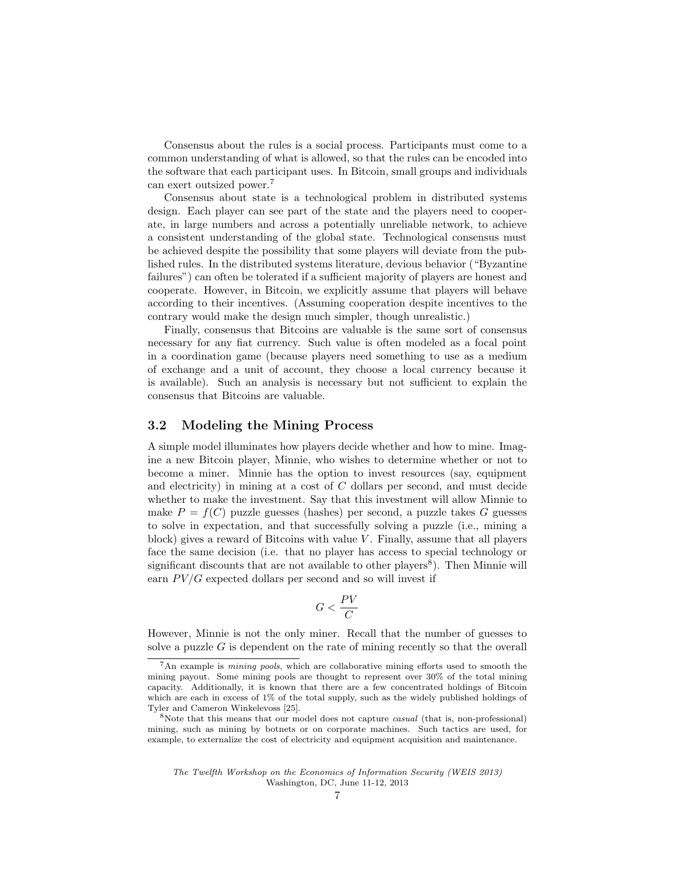Consensus about the rules is a social process. Participants must come to a common understanding of what is allowed, so that the rules can be encoded into the software that each participant uses. In Bitcoin, small groups and individuals can exert outsized power.<sup>7</sup>

Consensus about state is a technological problem in distributed systems design. Each player can see part of the state and the players need to cooperate, in large numbers and across a potentially unreliable network, to achieve a consistent understanding of the global state. Technological consensus must be achieved despite the possibility that some players will deviate from the published rules. In the distributed systems literature, devious behavior ("Byzantine failures") can often be tolerated if a sufficient majority of players are honest and cooperate. However, in Bitcoin, we explicitly assume that players will behave according to their incentives. (Assuming cooperation despite incentives to the contrary would make the design much simpler, though unrealistic.)

Finally, consensus that Bitcoins are valuable is the same sort of consensus necessary for any fiat currency. Such value is often modeled as a focal point in a coordination game (because players need something to use as a medium of exchange and a unit of account, they choose a local currency because it is available). Such an analysis is necessary but not sufficient to explain the consensus that Bitcoins are valuable.

### 3.2 Modeling the Mining Process

A simple model illuminates how players decide whether and how to mine. Imagine a new Bitcoin player, Minnie, who wishes to determine whether or not to become a miner. Minnie has the option to invest resources (say, equipment and electricity) in mining at a cost of C dollars per second, and must decide whether to make the investment. Say that this investment will allow Minnie to make  $P = f(C)$  puzzle guesses (hashes) per second, a puzzle takes G guesses to solve in expectation, and that successfully solving a puzzle (i.e., mining a block) gives a reward of Bitcoins with value  $V$ . Finally, assume that all players face the same decision (i.e. that no player has access to special technology or significant discounts that are not available to other players<sup>8</sup>). Then Minnie will earn  $PV/G$  expected dollars per second and so will invest if

$$
G < \frac{PV}{C}
$$

However, Minnie is not the only miner. Recall that the number of guesses to solve a puzzle G is dependent on the rate of mining recently so that the overall

<sup>7</sup>An example is mining pools, which are collaborative mining efforts used to smooth the mining payout. Some mining pools are thought to represent over 30% of the total mining capacity. Additionally, it is known that there are a few concentrated holdings of Bitcoin which are each in excess of 1% of the total supply, such as the widely published holdings of Tyler and Cameron Winkelevoss [25].

<sup>&</sup>lt;sup>8</sup>Note that this means that our model does not capture *casual* (that is, non-professional) mining, such as mining by botnets or on corporate machines. Such tactics are used, for example, to externalize the cost of electricity and equipment acquisition and maintenance.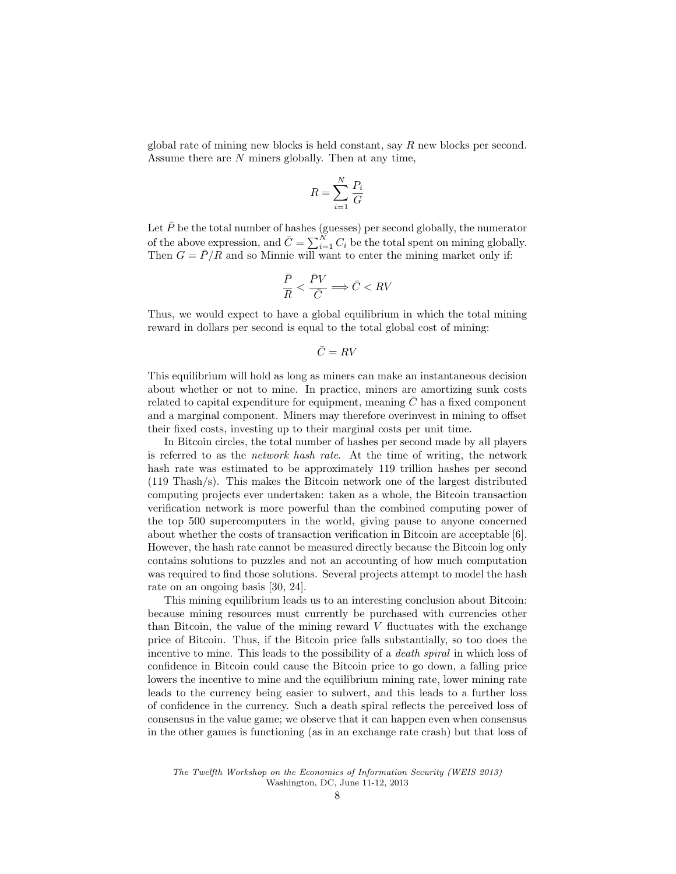global rate of mining new blocks is held constant, say  $R$  new blocks per second. Assume there are N miners globally. Then at any time,

$$
R = \sum_{i=1}^{N} \frac{P_i}{G}
$$

Let  $\bar{P}$  be the total number of hashes (guesses) per second globally, the numerator of the above expression, and  $\bar{C} = \sum_{i=1}^{N} C_i$  be the total spent on mining globally. Then  $G = \bar{P}/R$  and so Minnie will want to enter the mining market only if:

$$
\frac{\bar{P}}{R} < \frac{\bar{P}V}{\bar{C}} \Longrightarrow \bar{C} < RV
$$

Thus, we would expect to have a global equilibrium in which the total mining reward in dollars per second is equal to the total global cost of mining:

$$
\bar{C}=RV
$$

This equilibrium will hold as long as miners can make an instantaneous decision about whether or not to mine. In practice, miners are amortizing sunk costs related to capital expenditure for equipment, meaning  $C$  has a fixed component and a marginal component. Miners may therefore overinvest in mining to offset their fixed costs, investing up to their marginal costs per unit time.

In Bitcoin circles, the total number of hashes per second made by all players is referred to as the network hash rate. At the time of writing, the network hash rate was estimated to be approximately 119 trillion hashes per second (119 Thash/s). This makes the Bitcoin network one of the largest distributed computing projects ever undertaken: taken as a whole, the Bitcoin transaction verification network is more powerful than the combined computing power of the top 500 supercomputers in the world, giving pause to anyone concerned about whether the costs of transaction verification in Bitcoin are acceptable [6]. However, the hash rate cannot be measured directly because the Bitcoin log only contains solutions to puzzles and not an accounting of how much computation was required to find those solutions. Several projects attempt to model the hash rate on an ongoing basis [30, 24].

This mining equilibrium leads us to an interesting conclusion about Bitcoin: because mining resources must currently be purchased with currencies other than Bitcoin, the value of the mining reward  $V$  fluctuates with the exchange price of Bitcoin. Thus, if the Bitcoin price falls substantially, so too does the incentive to mine. This leads to the possibility of a *death spiral* in which loss of confidence in Bitcoin could cause the Bitcoin price to go down, a falling price lowers the incentive to mine and the equilibrium mining rate, lower mining rate leads to the currency being easier to subvert, and this leads to a further loss of confidence in the currency. Such a death spiral reflects the perceived loss of consensus in the value game; we observe that it can happen even when consensus in the other games is functioning (as in an exchange rate crash) but that loss of

The Twelfth Workshop on the Economics of Information Security (WEIS 2013) Washington, DC, June 11-12, 2013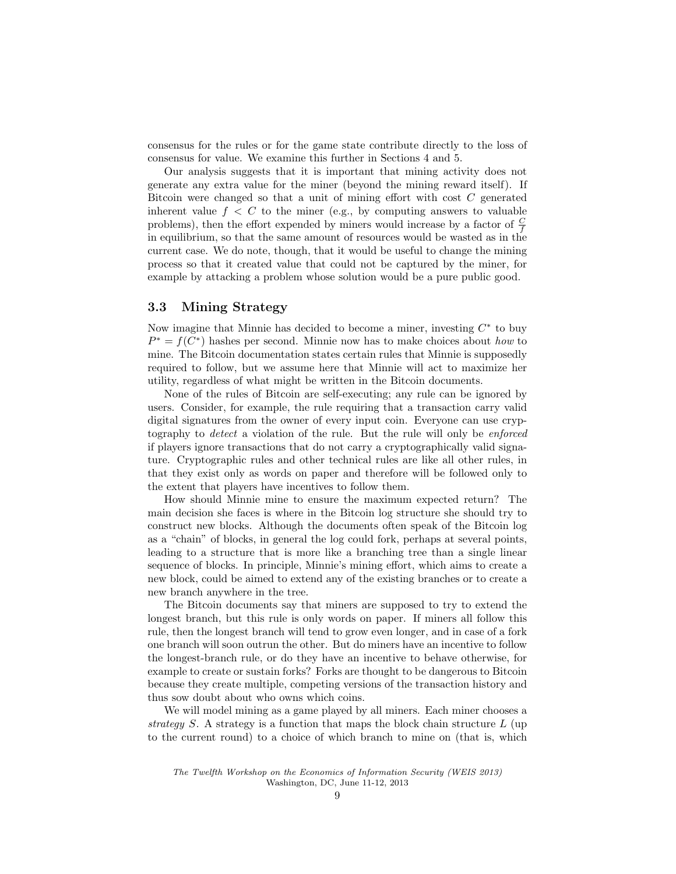consensus for the rules or for the game state contribute directly to the loss of consensus for value. We examine this further in Sections 4 and 5.

Our analysis suggests that it is important that mining activity does not generate any extra value for the miner (beyond the mining reward itself). If Bitcoin were changed so that a unit of mining effort with cost C generated inherent value  $f < C$  to the miner (e.g., by computing answers to valuable problems), then the effort expended by miners would increase by a factor of  $\frac{C}{f}$ in equilibrium, so that the same amount of resources would be wasted as in the current case. We do note, though, that it would be useful to change the mining process so that it created value that could not be captured by the miner, for example by attacking a problem whose solution would be a pure public good.

### 3.3 Mining Strategy

Now imagine that Minnie has decided to become a miner, investing  $C^*$  to buy  $P^* = f(C^*)$  hashes per second. Minnie now has to make choices about how to mine. The Bitcoin documentation states certain rules that Minnie is supposedly required to follow, but we assume here that Minnie will act to maximize her utility, regardless of what might be written in the Bitcoin documents.

None of the rules of Bitcoin are self-executing; any rule can be ignored by users. Consider, for example, the rule requiring that a transaction carry valid digital signatures from the owner of every input coin. Everyone can use cryptography to detect a violation of the rule. But the rule will only be enforced if players ignore transactions that do not carry a cryptographically valid signature. Cryptographic rules and other technical rules are like all other rules, in that they exist only as words on paper and therefore will be followed only to the extent that players have incentives to follow them.

How should Minnie mine to ensure the maximum expected return? The main decision she faces is where in the Bitcoin log structure she should try to construct new blocks. Although the documents often speak of the Bitcoin log as a "chain" of blocks, in general the log could fork, perhaps at several points, leading to a structure that is more like a branching tree than a single linear sequence of blocks. In principle, Minnie's mining effort, which aims to create a new block, could be aimed to extend any of the existing branches or to create a new branch anywhere in the tree.

The Bitcoin documents say that miners are supposed to try to extend the longest branch, but this rule is only words on paper. If miners all follow this rule, then the longest branch will tend to grow even longer, and in case of a fork one branch will soon outrun the other. But do miners have an incentive to follow the longest-branch rule, or do they have an incentive to behave otherwise, for example to create or sustain forks? Forks are thought to be dangerous to Bitcoin because they create multiple, competing versions of the transaction history and thus sow doubt about who owns which coins.

We will model mining as a game played by all miners. Each miner chooses a strategy S. A strategy is a function that maps the block chain structure  $L$  (up to the current round) to a choice of which branch to mine on (that is, which

The Twelfth Workshop on the Economics of Information Security (WEIS 2013) Washington, DC, June 11-12, 2013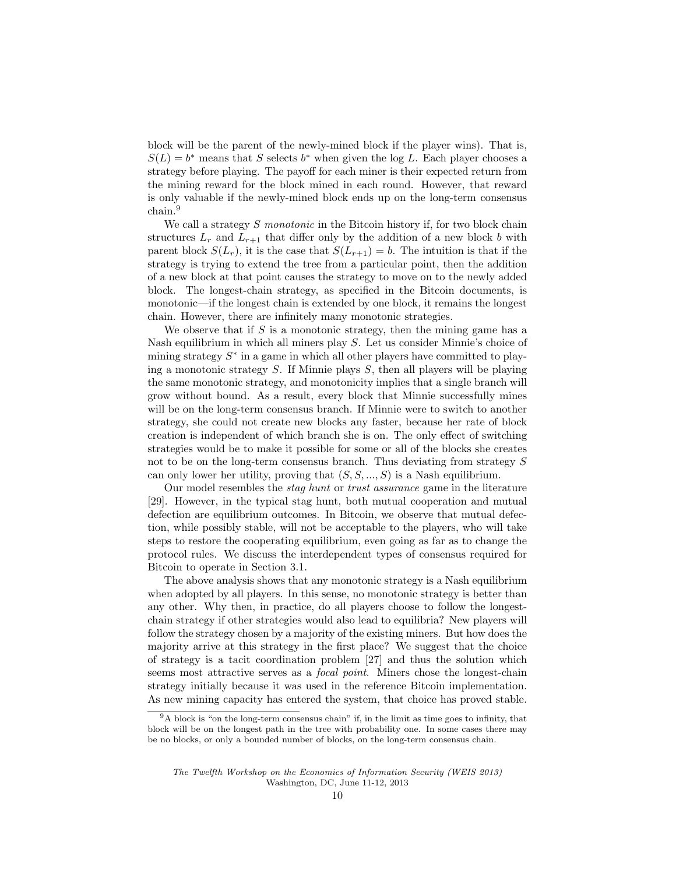block will be the parent of the newly-mined block if the player wins). That is,  $S(L) = b^*$  means that S selects  $b^*$  when given the log L. Each player chooses a strategy before playing. The payoff for each miner is their expected return from the mining reward for the block mined in each round. However, that reward is only valuable if the newly-mined block ends up on the long-term consensus chain.<sup>9</sup>

We call a strategy  $S$  monotonic in the Bitcoin history if, for two block chain structures  $L_r$  and  $L_{r+1}$  that differ only by the addition of a new block b with parent block  $S(L_r)$ , it is the case that  $S(L_{r+1}) = b$ . The intuition is that if the strategy is trying to extend the tree from a particular point, then the addition of a new block at that point causes the strategy to move on to the newly added block. The longest-chain strategy, as specified in the Bitcoin documents, is monotonic—if the longest chain is extended by one block, it remains the longest chain. However, there are infinitely many monotonic strategies.

We observe that if  $S$  is a monotonic strategy, then the mining game has a Nash equilibrium in which all miners play S. Let us consider Minnie's choice of mining strategy  $S^*$  in a game in which all other players have committed to playing a monotonic strategy  $S$ . If Minnie plays  $S$ , then all players will be playing the same monotonic strategy, and monotonicity implies that a single branch will grow without bound. As a result, every block that Minnie successfully mines will be on the long-term consensus branch. If Minnie were to switch to another strategy, she could not create new blocks any faster, because her rate of block creation is independent of which branch she is on. The only effect of switching strategies would be to make it possible for some or all of the blocks she creates not to be on the long-term consensus branch. Thus deviating from strategy S can only lower her utility, proving that  $(S, S, ..., S)$  is a Nash equilibrium.

Our model resembles the stag hunt or trust assurance game in the literature [29]. However, in the typical stag hunt, both mutual cooperation and mutual defection are equilibrium outcomes. In Bitcoin, we observe that mutual defection, while possibly stable, will not be acceptable to the players, who will take steps to restore the cooperating equilibrium, even going as far as to change the protocol rules. We discuss the interdependent types of consensus required for Bitcoin to operate in Section 3.1.

The above analysis shows that any monotonic strategy is a Nash equilibrium when adopted by all players. In this sense, no monotonic strategy is better than any other. Why then, in practice, do all players choose to follow the longestchain strategy if other strategies would also lead to equilibria? New players will follow the strategy chosen by a majority of the existing miners. But how does the majority arrive at this strategy in the first place? We suggest that the choice of strategy is a tacit coordination problem [27] and thus the solution which seems most attractive serves as a *focal point*. Miners chose the longest-chain strategy initially because it was used in the reference Bitcoin implementation. As new mining capacity has entered the system, that choice has proved stable.

<sup>&</sup>lt;sup>9</sup>A block is "on the long-term consensus chain" if, in the limit as time goes to infinity, that block will be on the longest path in the tree with probability one. In some cases there may be no blocks, or only a bounded number of blocks, on the long-term consensus chain.

The Twelfth Workshop on the Economics of Information Security (WEIS 2013) Washington, DC, June 11-12, 2013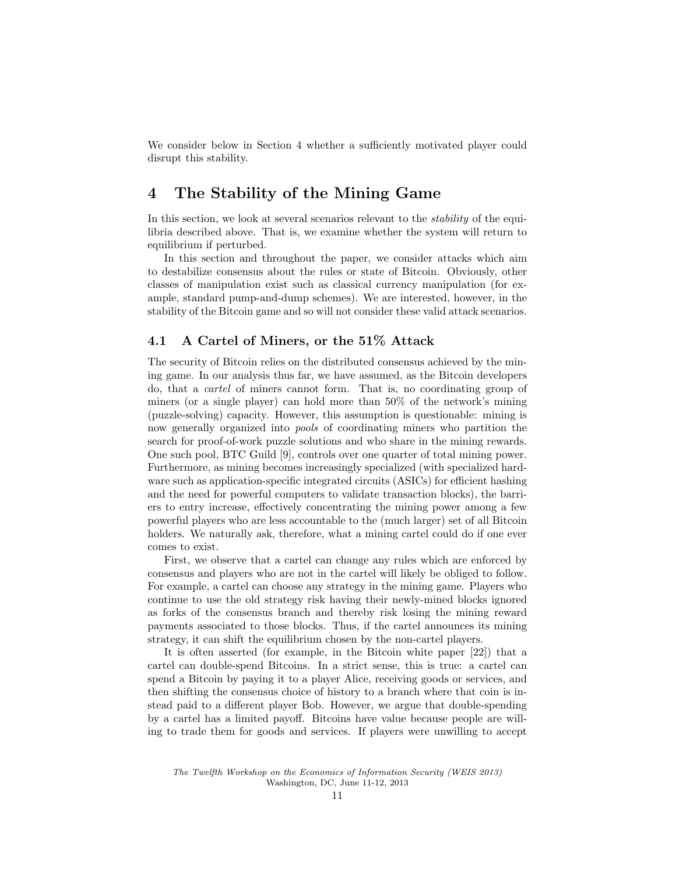We consider below in Section 4 whether a sufficiently motivated player could disrupt this stability.

# 4 The Stability of the Mining Game

In this section, we look at several scenarios relevant to the *stability* of the equilibria described above. That is, we examine whether the system will return to equilibrium if perturbed.

In this section and throughout the paper, we consider attacks which aim to destabilize consensus about the rules or state of Bitcoin. Obviously, other classes of manipulation exist such as classical currency manipulation (for example, standard pump-and-dump schemes). We are interested, however, in the stability of the Bitcoin game and so will not consider these valid attack scenarios.

### 4.1 A Cartel of Miners, or the 51% Attack

The security of Bitcoin relies on the distributed consensus achieved by the mining game. In our analysis thus far, we have assumed, as the Bitcoin developers do, that a cartel of miners cannot form. That is, no coordinating group of miners (or a single player) can hold more than 50% of the network's mining (puzzle-solving) capacity. However, this assumption is questionable: mining is now generally organized into pools of coordinating miners who partition the search for proof-of-work puzzle solutions and who share in the mining rewards. One such pool, BTC Guild [9], controls over one quarter of total mining power. Furthermore, as mining becomes increasingly specialized (with specialized hardware such as application-specific integrated circuits (ASICs) for efficient hashing and the need for powerful computers to validate transaction blocks), the barriers to entry increase, effectively concentrating the mining power among a few powerful players who are less accountable to the (much larger) set of all Bitcoin holders. We naturally ask, therefore, what a mining cartel could do if one ever comes to exist.

First, we observe that a cartel can change any rules which are enforced by consensus and players who are not in the cartel will likely be obliged to follow. For example, a cartel can choose any strategy in the mining game. Players who continue to use the old strategy risk having their newly-mined blocks ignored as forks of the consensus branch and thereby risk losing the mining reward payments associated to those blocks. Thus, if the cartel announces its mining strategy, it can shift the equilibrium chosen by the non-cartel players.

It is often asserted (for example, in the Bitcoin white paper [22]) that a cartel can double-spend Bitcoins. In a strict sense, this is true: a cartel can spend a Bitcoin by paying it to a player Alice, receiving goods or services, and then shifting the consensus choice of history to a branch where that coin is instead paid to a different player Bob. However, we argue that double-spending by a cartel has a limited payoff. Bitcoins have value because people are willing to trade them for goods and services. If players were unwilling to accept

The Twelfth Workshop on the Economics of Information Security (WEIS 2013) Washington, DC, June 11-12, 2013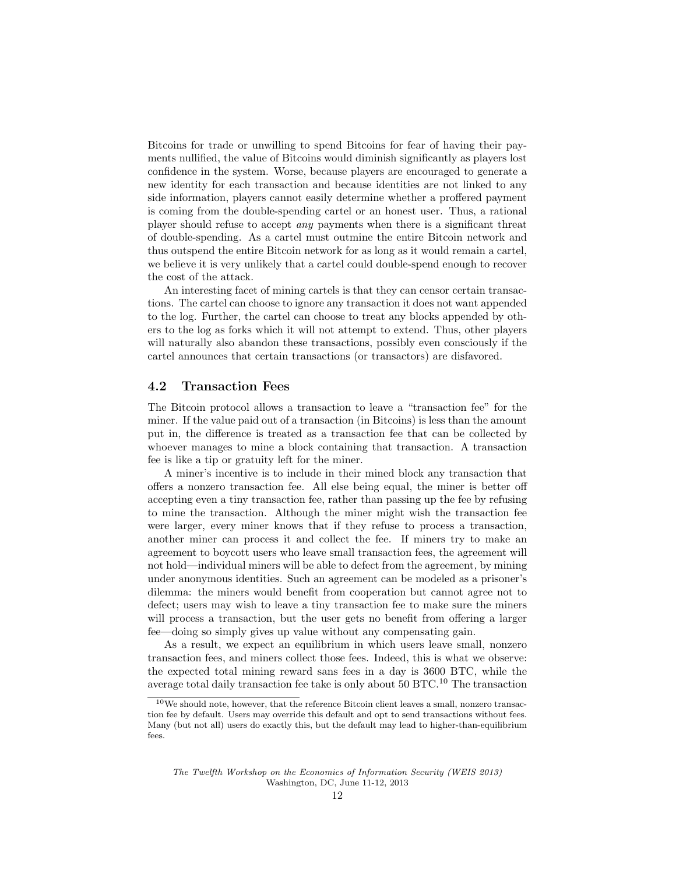Bitcoins for trade or unwilling to spend Bitcoins for fear of having their payments nullified, the value of Bitcoins would diminish significantly as players lost confidence in the system. Worse, because players are encouraged to generate a new identity for each transaction and because identities are not linked to any side information, players cannot easily determine whether a proffered payment is coming from the double-spending cartel or an honest user. Thus, a rational player should refuse to accept any payments when there is a significant threat of double-spending. As a cartel must outmine the entire Bitcoin network and thus outspend the entire Bitcoin network for as long as it would remain a cartel, we believe it is very unlikely that a cartel could double-spend enough to recover the cost of the attack.

An interesting facet of mining cartels is that they can censor certain transactions. The cartel can choose to ignore any transaction it does not want appended to the log. Further, the cartel can choose to treat any blocks appended by others to the log as forks which it will not attempt to extend. Thus, other players will naturally also abandon these transactions, possibly even consciously if the cartel announces that certain transactions (or transactors) are disfavored.

#### 4.2 Transaction Fees

The Bitcoin protocol allows a transaction to leave a "transaction fee" for the miner. If the value paid out of a transaction (in Bitcoins) is less than the amount put in, the difference is treated as a transaction fee that can be collected by whoever manages to mine a block containing that transaction. A transaction fee is like a tip or gratuity left for the miner.

A miner's incentive is to include in their mined block any transaction that offers a nonzero transaction fee. All else being equal, the miner is better off accepting even a tiny transaction fee, rather than passing up the fee by refusing to mine the transaction. Although the miner might wish the transaction fee were larger, every miner knows that if they refuse to process a transaction, another miner can process it and collect the fee. If miners try to make an agreement to boycott users who leave small transaction fees, the agreement will not hold—individual miners will be able to defect from the agreement, by mining under anonymous identities. Such an agreement can be modeled as a prisoner's dilemma: the miners would benefit from cooperation but cannot agree not to defect; users may wish to leave a tiny transaction fee to make sure the miners will process a transaction, but the user gets no benefit from offering a larger fee—doing so simply gives up value without any compensating gain.

As a result, we expect an equilibrium in which users leave small, nonzero transaction fees, and miners collect those fees. Indeed, this is what we observe: the expected total mining reward sans fees in a day is 3600 BTC, while the average total daily transaction fee take is only about 50 BTC.<sup>10</sup> The transaction

 $^{10}\mathrm{We}$  should note, however, that the reference Bitcoin client leaves a small, nonzero transaction fee by default. Users may override this default and opt to send transactions without fees. Many (but not all) users do exactly this, but the default may lead to higher-than-equilibrium fees.

The Twelfth Workshop on the Economics of Information Security (WEIS 2013) Washington, DC, June 11-12, 2013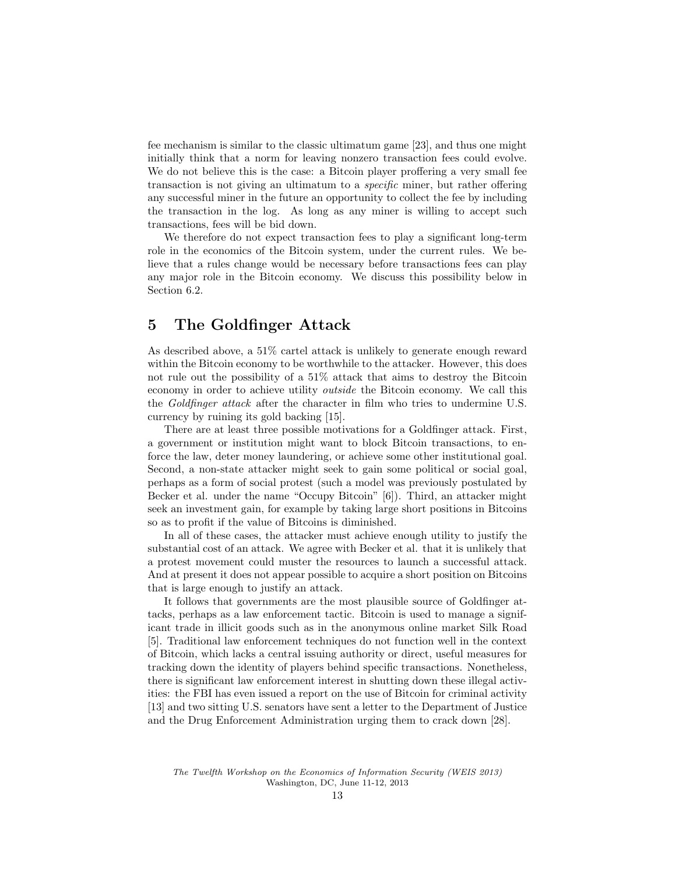fee mechanism is similar to the classic ultimatum game [23], and thus one might initially think that a norm for leaving nonzero transaction fees could evolve. We do not believe this is the case: a Bitcoin player proffering a very small fee transaction is not giving an ultimatum to a specific miner, but rather offering any successful miner in the future an opportunity to collect the fee by including the transaction in the log. As long as any miner is willing to accept such transactions, fees will be bid down.

We therefore do not expect transaction fees to play a significant long-term role in the economics of the Bitcoin system, under the current rules. We believe that a rules change would be necessary before transactions fees can play any major role in the Bitcoin economy. We discuss this possibility below in Section 6.2.

# 5 The Goldfinger Attack

As described above, a 51% cartel attack is unlikely to generate enough reward within the Bitcoin economy to be worthwhile to the attacker. However, this does not rule out the possibility of a 51% attack that aims to destroy the Bitcoin economy in order to achieve utility outside the Bitcoin economy. We call this the Goldfinger attack after the character in film who tries to undermine U.S. currency by ruining its gold backing [15].

There are at least three possible motivations for a Goldfinger attack. First, a government or institution might want to block Bitcoin transactions, to enforce the law, deter money laundering, or achieve some other institutional goal. Second, a non-state attacker might seek to gain some political or social goal, perhaps as a form of social protest (such a model was previously postulated by Becker et al. under the name "Occupy Bitcoin" [6]). Third, an attacker might seek an investment gain, for example by taking large short positions in Bitcoins so as to profit if the value of Bitcoins is diminished.

In all of these cases, the attacker must achieve enough utility to justify the substantial cost of an attack. We agree with Becker et al. that it is unlikely that a protest movement could muster the resources to launch a successful attack. And at present it does not appear possible to acquire a short position on Bitcoins that is large enough to justify an attack.

It follows that governments are the most plausible source of Goldfinger attacks, perhaps as a law enforcement tactic. Bitcoin is used to manage a significant trade in illicit goods such as in the anonymous online market Silk Road [5]. Traditional law enforcement techniques do not function well in the context of Bitcoin, which lacks a central issuing authority or direct, useful measures for tracking down the identity of players behind specific transactions. Nonetheless, there is significant law enforcement interest in shutting down these illegal activities: the FBI has even issued a report on the use of Bitcoin for criminal activity [13] and two sitting U.S. senators have sent a letter to the Department of Justice and the Drug Enforcement Administration urging them to crack down [28].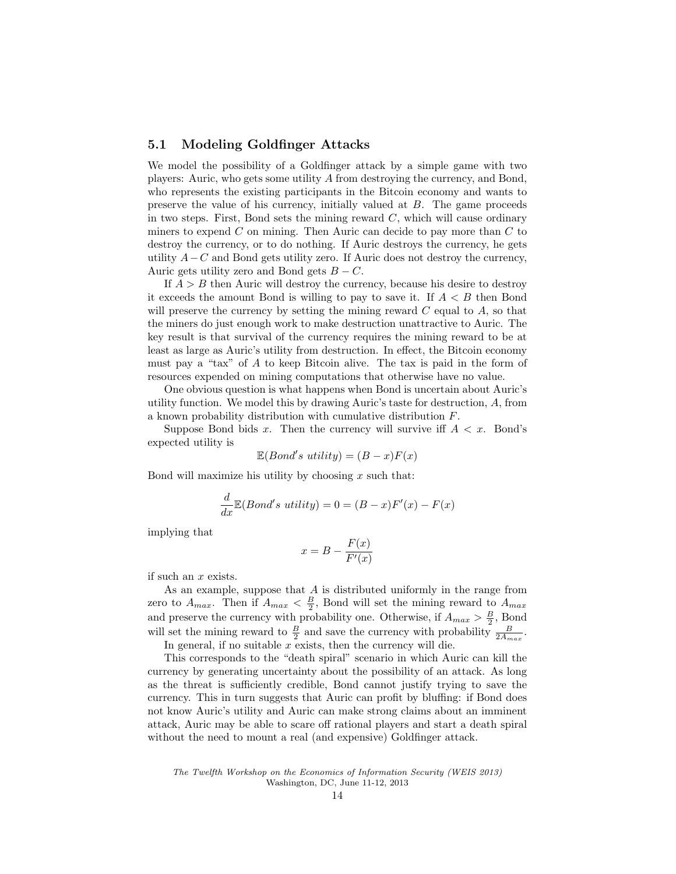#### 5.1 Modeling Goldfinger Attacks

We model the possibility of a Goldfinger attack by a simple game with two players: Auric, who gets some utility A from destroying the currency, and Bond, who represents the existing participants in the Bitcoin economy and wants to preserve the value of his currency, initially valued at B. The game proceeds in two steps. First, Bond sets the mining reward  $C$ , which will cause ordinary miners to expend  $C$  on mining. Then Auric can decide to pay more than  $C$  to destroy the currency, or to do nothing. If Auric destroys the currency, he gets utility  $A-C$  and Bond gets utility zero. If Auric does not destroy the currency, Auric gets utility zero and Bond gets  $B - C$ .

If  $A > B$  then Auric will destroy the currency, because his desire to destroy it exceeds the amount Bond is willing to pay to save it. If  $A \leq B$  then Bond will preserve the currency by setting the mining reward  $C$  equal to  $A$ , so that the miners do just enough work to make destruction unattractive to Auric. The key result is that survival of the currency requires the mining reward to be at least as large as Auric's utility from destruction. In effect, the Bitcoin economy must pay a "tax" of A to keep Bitcoin alive. The tax is paid in the form of resources expended on mining computations that otherwise have no value.

One obvious question is what happens when Bond is uncertain about Auric's utility function. We model this by drawing Auric's taste for destruction, A, from a known probability distribution with cumulative distribution F.

Suppose Bond bids x. Then the currency will survive iff  $A < x$ . Bond's expected utility is

$$
\mathbb{E}(Bond's \ utility) = (B - x)F(x)
$$

Bond will maximize his utility by choosing  $x$  such that:

$$
\frac{d}{dx}\mathbb{E}(Bond's \ utility) = 0 = (B - x)F'(x) - F(x)
$$

implying that

$$
x = B - \frac{F(x)}{F'(x)}
$$

if such an x exists.

As an example, suppose that  $A$  is distributed uniformly in the range from zero to  $A_{max}$ . Then if  $A_{max} < \frac{B}{2}$ , Bond will set the mining reward to  $A_{max}$ . and preserve the currency with probability one. Otherwise, if  $A_{max} > \frac{B}{2}$ , Bond will set the mining reward to  $\frac{B}{2}$  and save the currency with probability  $\frac{B}{2A_{max}}$ .

In general, if no suitable  $x$  exists, then the currency will die.

This corresponds to the "death spiral" scenario in which Auric can kill the currency by generating uncertainty about the possibility of an attack. As long as the threat is sufficiently credible, Bond cannot justify trying to save the currency. This in turn suggests that Auric can profit by bluffing: if Bond does not know Auric's utility and Auric can make strong claims about an imminent attack, Auric may be able to scare off rational players and start a death spiral without the need to mount a real (and expensive) Goldfinger attack.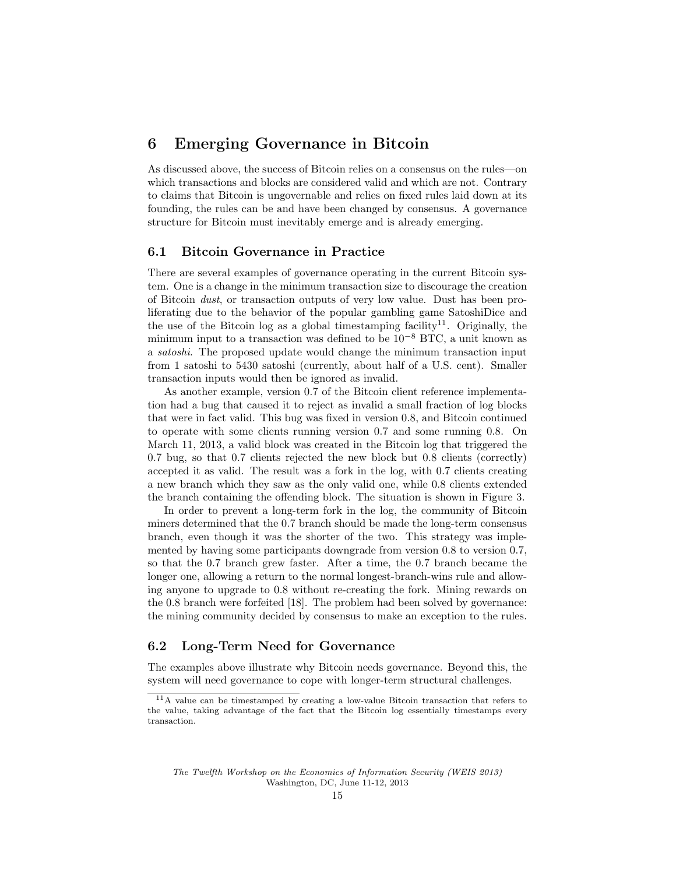# 6 Emerging Governance in Bitcoin

As discussed above, the success of Bitcoin relies on a consensus on the rules—on which transactions and blocks are considered valid and which are not. Contrary to claims that Bitcoin is ungovernable and relies on fixed rules laid down at its founding, the rules can be and have been changed by consensus. A governance structure for Bitcoin must inevitably emerge and is already emerging.

#### 6.1 Bitcoin Governance in Practice

There are several examples of governance operating in the current Bitcoin system. One is a change in the minimum transaction size to discourage the creation of Bitcoin dust, or transaction outputs of very low value. Dust has been proliferating due to the behavior of the popular gambling game SatoshiDice and the use of the Bitcoin log as a global timestamping facility<sup>11</sup>. Originally, the minimum input to a transaction was defined to be  $10^{-8}$  BTC, a unit known as a satoshi. The proposed update would change the minimum transaction input from 1 satoshi to 5430 satoshi (currently, about half of a U.S. cent). Smaller transaction inputs would then be ignored as invalid.

As another example, version 0.7 of the Bitcoin client reference implementation had a bug that caused it to reject as invalid a small fraction of log blocks that were in fact valid. This bug was fixed in version 0.8, and Bitcoin continued to operate with some clients running version 0.7 and some running 0.8. On March 11, 2013, a valid block was created in the Bitcoin log that triggered the 0.7 bug, so that 0.7 clients rejected the new block but 0.8 clients (correctly) accepted it as valid. The result was a fork in the log, with 0.7 clients creating a new branch which they saw as the only valid one, while 0.8 clients extended the branch containing the offending block. The situation is shown in Figure 3.

In order to prevent a long-term fork in the log, the community of Bitcoin miners determined that the 0.7 branch should be made the long-term consensus branch, even though it was the shorter of the two. This strategy was implemented by having some participants downgrade from version 0.8 to version 0.7, so that the 0.7 branch grew faster. After a time, the 0.7 branch became the longer one, allowing a return to the normal longest-branch-wins rule and allowing anyone to upgrade to 0.8 without re-creating the fork. Mining rewards on the 0.8 branch were forfeited [18]. The problem had been solved by governance: the mining community decided by consensus to make an exception to the rules.

### 6.2 Long-Term Need for Governance

The examples above illustrate why Bitcoin needs governance. Beyond this, the system will need governance to cope with longer-term structural challenges.

<sup>11</sup>A value can be timestamped by creating a low-value Bitcoin transaction that refers to the value, taking advantage of the fact that the Bitcoin log essentially timestamps every transaction.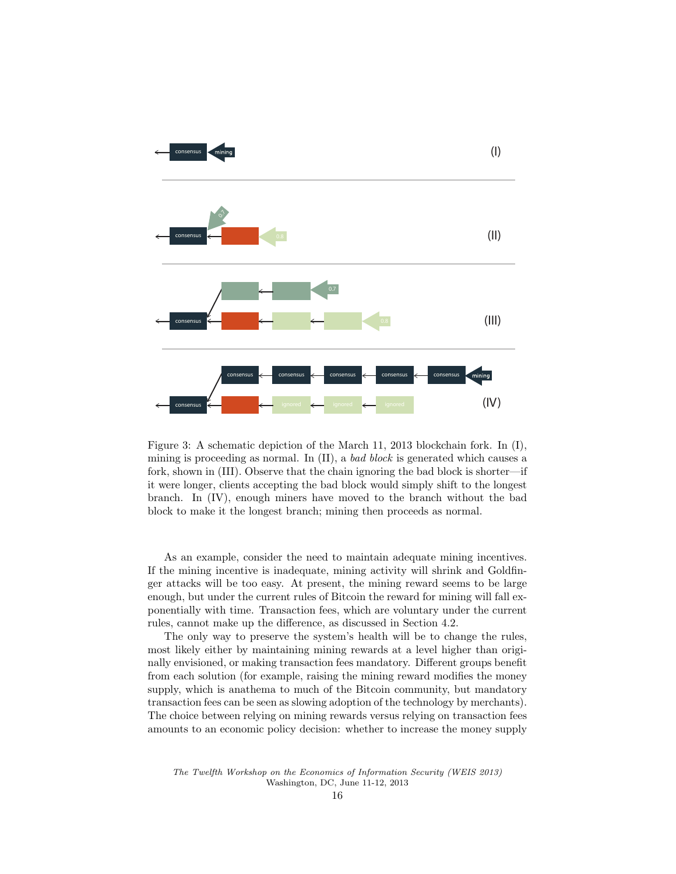

Figure 3: A schematic depiction of the March 11, 2013 blockchain fork. In (I), mining is proceeding as normal. In (II), a bad block is generated which causes a fork, shown in (III). Observe that the chain ignoring the bad block is shorter—if it were longer, clients accepting the bad block would simply shift to the longest branch. In (IV), enough miners have moved to the branch without the bad block to make it the longest branch; mining then proceeds as normal.

As an example, consider the need to maintain adequate mining incentives. If the mining incentive is inadequate, mining activity will shrink and Goldfinger attacks will be too easy. At present, the mining reward seems to be large enough, but under the current rules of Bitcoin the reward for mining will fall exponentially with time. Transaction fees, which are voluntary under the current rules, cannot make up the difference, as discussed in Section 4.2.

The only way to preserve the system's health will be to change the rules, most likely either by maintaining mining rewards at a level higher than originally envisioned, or making transaction fees mandatory. Different groups benefit from each solution (for example, raising the mining reward modifies the money supply, which is anathema to much of the Bitcoin community, but mandatory transaction fees can be seen as slowing adoption of the technology by merchants). The choice between relying on mining rewards versus relying on transaction fees amounts to an economic policy decision: whether to increase the money supply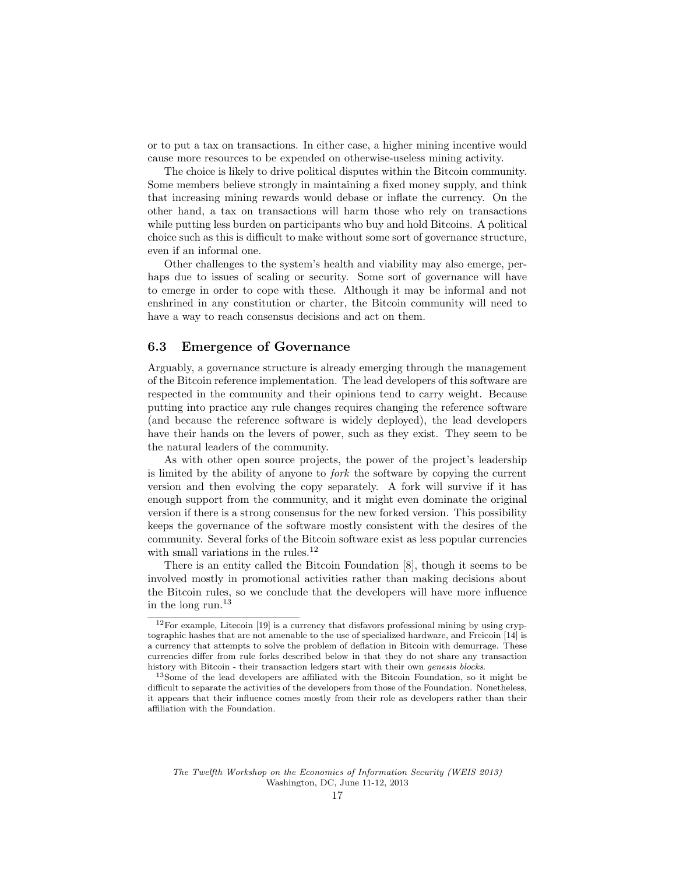or to put a tax on transactions. In either case, a higher mining incentive would cause more resources to be expended on otherwise-useless mining activity.

The choice is likely to drive political disputes within the Bitcoin community. Some members believe strongly in maintaining a fixed money supply, and think that increasing mining rewards would debase or inflate the currency. On the other hand, a tax on transactions will harm those who rely on transactions while putting less burden on participants who buy and hold Bitcoins. A political choice such as this is difficult to make without some sort of governance structure, even if an informal one.

Other challenges to the system's health and viability may also emerge, perhaps due to issues of scaling or security. Some sort of governance will have to emerge in order to cope with these. Although it may be informal and not enshrined in any constitution or charter, the Bitcoin community will need to have a way to reach consensus decisions and act on them.

#### 6.3 Emergence of Governance

Arguably, a governance structure is already emerging through the management of the Bitcoin reference implementation. The lead developers of this software are respected in the community and their opinions tend to carry weight. Because putting into practice any rule changes requires changing the reference software (and because the reference software is widely deployed), the lead developers have their hands on the levers of power, such as they exist. They seem to be the natural leaders of the community.

As with other open source projects, the power of the project's leadership is limited by the ability of anyone to fork the software by copying the current version and then evolving the copy separately. A fork will survive if it has enough support from the community, and it might even dominate the original version if there is a strong consensus for the new forked version. This possibility keeps the governance of the software mostly consistent with the desires of the community. Several forks of the Bitcoin software exist as less popular currencies with small variations in the rules.  $^\mathrm{12}$ 

There is an entity called the Bitcoin Foundation [8], though it seems to be involved mostly in promotional activities rather than making decisions about the Bitcoin rules, so we conclude that the developers will have more influence in the long run.<sup>13</sup>

 $12$  For example, Litecoin [19] is a currency that disfavors professional mining by using cryptographic hashes that are not amenable to the use of specialized hardware, and Freicoin [14] is a currency that attempts to solve the problem of deflation in Bitcoin with demurrage. These currencies differ from rule forks described below in that they do not share any transaction history with Bitcoin - their transaction ledgers start with their own genesis blocks.

<sup>13</sup>Some of the lead developers are affiliated with the Bitcoin Foundation, so it might be difficult to separate the activities of the developers from those of the Foundation. Nonetheless, it appears that their influence comes mostly from their role as developers rather than their affiliation with the Foundation.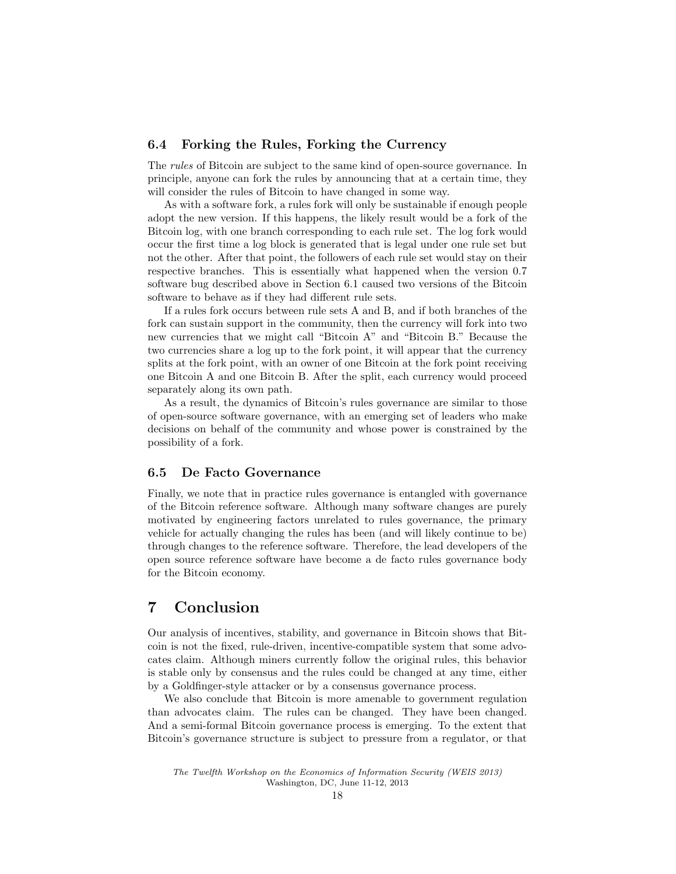#### 6.4 Forking the Rules, Forking the Currency

The rules of Bitcoin are subject to the same kind of open-source governance. In principle, anyone can fork the rules by announcing that at a certain time, they will consider the rules of Bitcoin to have changed in some way.

As with a software fork, a rules fork will only be sustainable if enough people adopt the new version. If this happens, the likely result would be a fork of the Bitcoin log, with one branch corresponding to each rule set. The log fork would occur the first time a log block is generated that is legal under one rule set but not the other. After that point, the followers of each rule set would stay on their respective branches. This is essentially what happened when the version 0.7 software bug described above in Section 6.1 caused two versions of the Bitcoin software to behave as if they had different rule sets.

If a rules fork occurs between rule sets A and B, and if both branches of the fork can sustain support in the community, then the currency will fork into two new currencies that we might call "Bitcoin A" and "Bitcoin B." Because the two currencies share a log up to the fork point, it will appear that the currency splits at the fork point, with an owner of one Bitcoin at the fork point receiving one Bitcoin A and one Bitcoin B. After the split, each currency would proceed separately along its own path.

As a result, the dynamics of Bitcoin's rules governance are similar to those of open-source software governance, with an emerging set of leaders who make decisions on behalf of the community and whose power is constrained by the possibility of a fork.

#### 6.5 De Facto Governance

Finally, we note that in practice rules governance is entangled with governance of the Bitcoin reference software. Although many software changes are purely motivated by engineering factors unrelated to rules governance, the primary vehicle for actually changing the rules has been (and will likely continue to be) through changes to the reference software. Therefore, the lead developers of the open source reference software have become a de facto rules governance body for the Bitcoin economy.

### 7 Conclusion

Our analysis of incentives, stability, and governance in Bitcoin shows that Bitcoin is not the fixed, rule-driven, incentive-compatible system that some advocates claim. Although miners currently follow the original rules, this behavior is stable only by consensus and the rules could be changed at any time, either by a Goldfinger-style attacker or by a consensus governance process.

We also conclude that Bitcoin is more amenable to government regulation than advocates claim. The rules can be changed. They have been changed. And a semi-formal Bitcoin governance process is emerging. To the extent that Bitcoin's governance structure is subject to pressure from a regulator, or that

The Twelfth Workshop on the Economics of Information Security (WEIS 2013) Washington, DC, June 11-12, 2013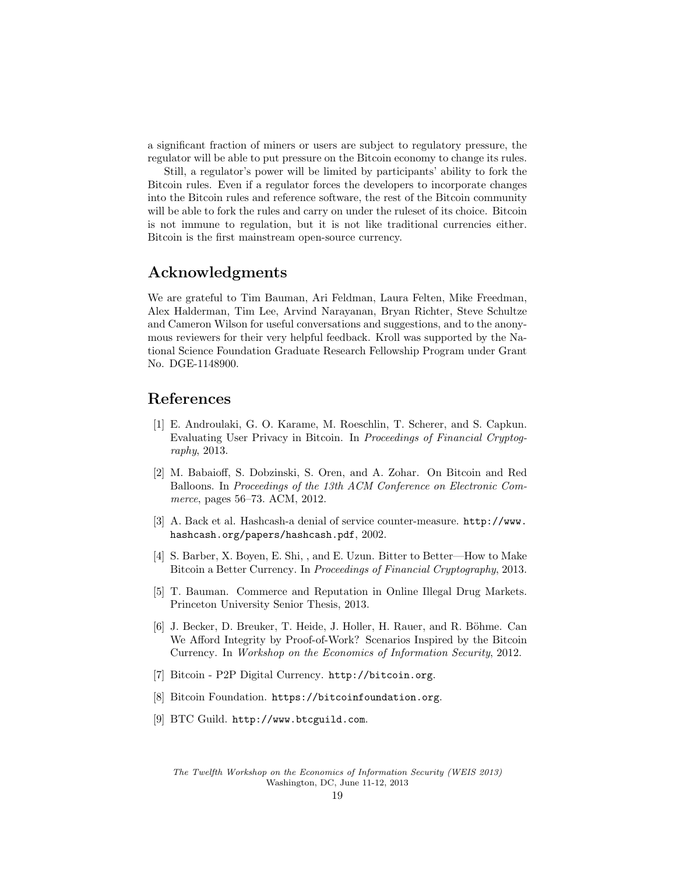a significant fraction of miners or users are subject to regulatory pressure, the regulator will be able to put pressure on the Bitcoin economy to change its rules.

Still, a regulator's power will be limited by participants' ability to fork the Bitcoin rules. Even if a regulator forces the developers to incorporate changes into the Bitcoin rules and reference software, the rest of the Bitcoin community will be able to fork the rules and carry on under the ruleset of its choice. Bitcoin is not immune to regulation, but it is not like traditional currencies either. Bitcoin is the first mainstream open-source currency.

# Acknowledgments

We are grateful to Tim Bauman, Ari Feldman, Laura Felten, Mike Freedman, Alex Halderman, Tim Lee, Arvind Narayanan, Bryan Richter, Steve Schultze and Cameron Wilson for useful conversations and suggestions, and to the anonymous reviewers for their very helpful feedback. Kroll was supported by the National Science Foundation Graduate Research Fellowship Program under Grant No. DGE-1148900.

# References

- [1] E. Androulaki, G. O. Karame, M. Roeschlin, T. Scherer, and S. Capkun. Evaluating User Privacy in Bitcoin. In Proceedings of Financial Cryptography, 2013.
- [2] M. Babaioff, S. Dobzinski, S. Oren, and A. Zohar. On Bitcoin and Red Balloons. In Proceedings of the 13th ACM Conference on Electronic Commerce, pages 56–73. ACM, 2012.
- [3] A. Back et al. Hashcash-a denial of service counter-measure. http://www. hashcash.org/papers/hashcash.pdf, 2002.
- [4] S. Barber, X. Boyen, E. Shi, , and E. Uzun. Bitter to Better—How to Make Bitcoin a Better Currency. In Proceedings of Financial Cryptography, 2013.
- [5] T. Bauman. Commerce and Reputation in Online Illegal Drug Markets. Princeton University Senior Thesis, 2013.
- [6] J. Becker, D. Breuker, T. Heide, J. Holler, H. Rauer, and R. Böhme. Can We Afford Integrity by Proof-of-Work? Scenarios Inspired by the Bitcoin Currency. In Workshop on the Economics of Information Security, 2012.
- [7] Bitcoin P2P Digital Currency. http://bitcoin.org.
- [8] Bitcoin Foundation. https://bitcoinfoundation.org.
- [9] BTC Guild. http://www.btcguild.com.

The Twelfth Workshop on the Economics of Information Security (WEIS 2013) Washington, DC, June 11-12, 2013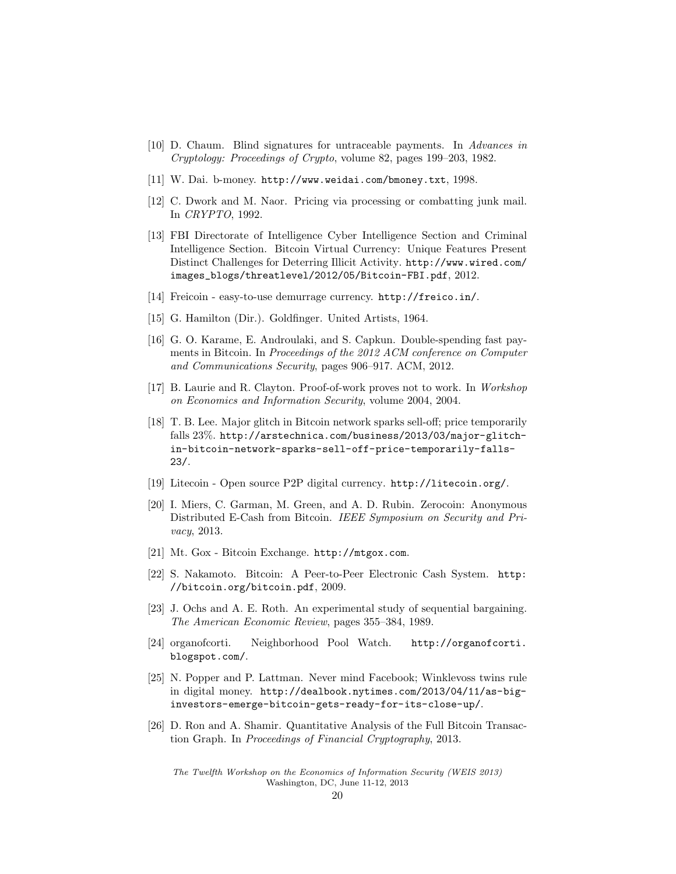- [10] D. Chaum. Blind signatures for untraceable payments. In Advances in Cryptology: Proceedings of Crypto, volume 82, pages 199–203, 1982.
- [11] W. Dai. b-money. http://www.weidai.com/bmoney.txt, 1998.
- [12] C. Dwork and M. Naor. Pricing via processing or combatting junk mail. In CRYPTO, 1992.
- [13] FBI Directorate of Intelligence Cyber Intelligence Section and Criminal Intelligence Section. Bitcoin Virtual Currency: Unique Features Present Distinct Challenges for Deterring Illicit Activity. http://www.wired.com/ images\_blogs/threatlevel/2012/05/Bitcoin-FBI.pdf, 2012.
- [14] Freicoin easy-to-use demurrage currency. http://freico.in/.
- [15] G. Hamilton (Dir.). Goldfinger. United Artists, 1964.
- [16] G. O. Karame, E. Androulaki, and S. Capkun. Double-spending fast payments in Bitcoin. In Proceedings of the 2012 ACM conference on Computer and Communications Security, pages 906–917. ACM, 2012.
- [17] B. Laurie and R. Clayton. Proof-of-work proves not to work. In Workshop on Economics and Information Security, volume 2004, 2004.
- [18] T. B. Lee. Major glitch in Bitcoin network sparks sell-off; price temporarily falls 23%. http://arstechnica.com/business/2013/03/major-glitchin-bitcoin-network-sparks-sell-off-price-temporarily-falls-23/.
- [19] Litecoin Open source P2P digital currency. http://litecoin.org/.
- [20] I. Miers, C. Garman, M. Green, and A. D. Rubin. Zerocoin: Anonymous Distributed E-Cash from Bitcoin. IEEE Symposium on Security and Privacy, 2013.
- [21] Mt. Gox Bitcoin Exchange. http://mtgox.com.
- [22] S. Nakamoto. Bitcoin: A Peer-to-Peer Electronic Cash System. http: //bitcoin.org/bitcoin.pdf, 2009.
- [23] J. Ochs and A. E. Roth. An experimental study of sequential bargaining. The American Economic Review, pages 355–384, 1989.
- [24] organofcorti. Neighborhood Pool Watch. http://organofcorti. blogspot.com/.
- [25] N. Popper and P. Lattman. Never mind Facebook; Winklevoss twins rule in digital money. http://dealbook.nytimes.com/2013/04/11/as-biginvestors-emerge-bitcoin-gets-ready-for-its-close-up/.
- [26] D. Ron and A. Shamir. Quantitative Analysis of the Full Bitcoin Transaction Graph. In Proceedings of Financial Cryptography, 2013.